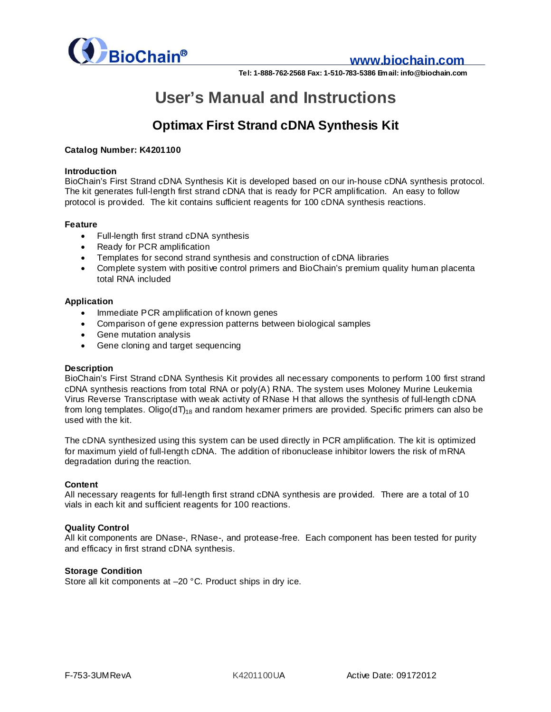

### **www.biochain.com**

**Tel: 1-888-762-2568 Fax: 1-510-783-5386 Email: info@biochain.com**

# **User's Manual and Instructions**

# **Optimax First Strand cDNA Synthesis Kit**

#### **Catalog Number: K4201100**

#### **Introduction**

BioChain's First Strand cDNA Synthesis Kit is developed based on our in-house cDNA synthesis protocol. The kit generates full-length first strand cDNA that is ready for PCR amplification. An easy to follow protocol is provided. The kit contains sufficient reagents for 100 cDNA synthesis reactions.

#### **Feature**

- · Full-length first strand cDNA synthesis
- · Ready for PCR amplification
- · Templates for second strand synthesis and construction of cDNA libraries
- · Complete system with positive control primers and BioChain's premium quality human placenta total RNA included

#### **Application**

- Immediate PCR amplification of known genes
- · Comparison of gene expression patterns between biological samples
- · Gene mutation analysis
- · Gene cloning and target sequencing

#### **Description**

BioChain's First Strand cDNA Synthesis Kit provides all necessary components to perform 100 first strand cDNA synthesis reactions from total RNA or poly(A) RNA. The system uses Moloney Murine Leukemia Virus Reverse Transcriptase with weak activity of RNase H that allows the synthesis of full-length cDNA from long templates. Oligo( $dT$ <sub>18</sub> and random hexamer primers are provided. Specific primers can also be used with the kit.

The cDNA synthesized using this system can be used directly in PCR amplification. The kit is optimized for maximum yield of full-length cDNA. The addition of ribonuclease inhibitor lowers the risk of mRNA degradation during the reaction.

#### **Content**

All necessary reagents for full-length first strand cDNA synthesis are provided. There are a total of 10 vials in each kit and sufficient reagents for 100 reactions.

#### **Quality Control**

All kit components are DNase-, RNase-, and protease-free. Each component has been tested for purity and efficacy in first strand cDNA synthesis.

#### **Storage Condition**

Store all kit components at –20 °C. Product ships in dry ice.